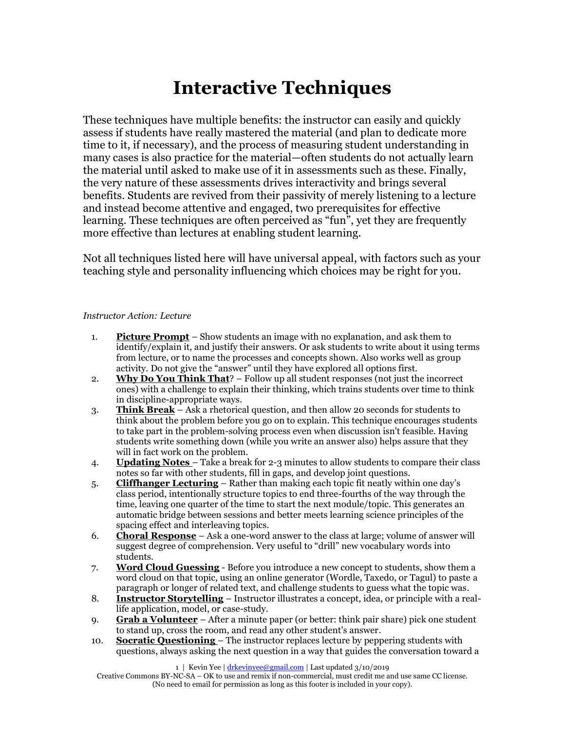# **Interactive Techniques**

These techniques have multiple benefits: the instructor can easily and quickly assess if students have really mastered the material (and plan to dedicate more time to it, if necessary), and the process of measuring student understanding in many cases is also practice for the material—often students do not actually learn the material until asked to make use of it in assessments such as these. Finally, the very nature of these assessments drives interactivity and brings several benefits. Students are revived from their passivity of merely listening to a lecture and instead become attentive and engaged, two prerequisites for effective learning. These techniques are often perceived as "fun", yet they are frequently more effective than lectures at enabling student learning.

Not all techniques listed here will have universal appeal, with factors such as your teaching style and personality influencing which choices may be right for you.

## *Instructor Action: Lecture*

- 1. **Picture Prompt** Show students an image with no explanation, and ask them to identify/explain it, and justify their answers. Or ask students to write about it using terms from lecture, or to name the processes and concepts shown. Also works well as group activity. Do not give the "answer" until they have explored all options first.
- 2. **Why Do You Think That**? Follow up all student responses (not just the incorrect ones) with a challenge to explain their thinking, which trains students over time to think in discipline-appropriate ways.
- 3. **Think Break** Ask a rhetorical question, and then allow 20 seconds for students to think about the problem before you go on to explain. This technique encourages students to take part in the problem-solving process even when discussion isn't feasible. Having students write something down (while you write an answer also) helps assure that they will in fact work on the problem.
- 4. **Updating Notes**  Take a break for 2-3 minutes to allow students to compare their class notes so far with other students, fill in gaps, and develop joint questions.
- 5. **Cliffhanger Lecturing** Rather than making each topic fit neatly within one day's class period, intentionally structure topics to end three-fourths of the way through the time, leaving one quarter of the time to start the next module/topic. This generates an automatic bridge between sessions and better meets learning science principles of the spacing effect and interleaving topics.
- 6. **Choral Response** Ask a one-word answer to the class at large; volume of answer will suggest degree of comprehension. Very useful to "drill" new vocabulary words into students.
- 7. **Word Cloud Guessing** Before you introduce a new concept to students, show them a word cloud on that topic, using an online generator (Wordle, Taxedo, or Tagul) to paste a paragraph or longer of related text, and challenge students to guess what the topic was.
- 8. **Instructor Storytelling** Instructor illustrates a concept, idea, or principle with a reallife application, model, or case-study.
- 9. **Grab a Volunteer** After a minute paper (or better: think pair share) pick one student to stand up, cross the room, and read any other student's answer.
- 10. **Socratic Questioning**  The instructor replaces lecture by peppering students with questions, always asking the next question in a way that guides the conversation toward a

1 | Kevin Yee [| drkevinyee@gmail.com](mailto:drkevinyee@gmail.com) | Last updated 3/10/2019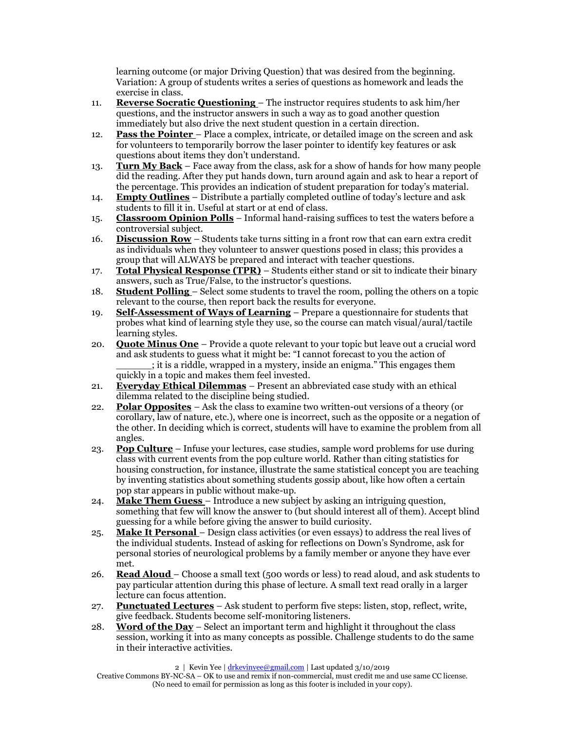learning outcome (or major Driving Question) that was desired from the beginning. Variation: A group of students writes a series of questions as homework and leads the exercise in class.

- 11. **Reverse Socratic Questioning**  The instructor requires students to ask him/her questions, and the instructor answers in such a way as to goad another question immediately but also drive the next student question in a certain direction.
- 12. **Pass the Pointer**  Place a complex, intricate, or detailed image on the screen and ask for volunteers to temporarily borrow the laser pointer to identify key features or ask questions about items they don't understand.
- 13. **Turn My Back** Face away from the class, ask for a show of hands for how many people did the reading. After they put hands down, turn around again and ask to hear a report of the percentage. This provides an indication of student preparation for today's material.
- 14. **Empty Outlines** Distribute a partially completed outline of today's lecture and ask students to fill it in. Useful at start or at end of class.
- 15. **Classroom Opinion Polls** Informal hand-raising suffices to test the waters before a controversial subject.
- 16. **Discussion Row** Students take turns sitting in a front row that can earn extra credit as individuals when they volunteer to answer questions posed in class; this provides a group that will ALWAYS be prepared and interact with teacher questions.
- 17. **Total Physical Response (TPR)** Students either stand or sit to indicate their binary answers, such as True/False, to the instructor's questions.
- 18. **Student Polling**  Select some students to travel the room, polling the others on a topic relevant to the course, then report back the results for everyone.
- 19. **Self-Assessment of Ways of Learning** Prepare a questionnaire for students that probes what kind of learning style they use, so the course can match visual/aural/tactile learning styles.
- 20. **Quote Minus One** Provide a quote relevant to your topic but leave out a crucial word and ask students to guess what it might be: "I cannot forecast to you the action of \_\_\_\_\_\_; it is a riddle, wrapped in a mystery, inside an enigma." This engages them quickly in a topic and makes them feel invested.
- 21. **Everyday Ethical Dilemmas** Present an abbreviated case study with an ethical dilemma related to the discipline being studied.
- 22. **Polar Opposites** Ask the class to examine two written-out versions of a theory (or corollary, law of nature, etc.), where one is incorrect, such as the opposite or a negation of the other. In deciding which is correct, students will have to examine the problem from all angles.
- 23. **Pop Culture** Infuse your lectures, case studies, sample word problems for use during class with current events from the pop culture world. Rather than citing statistics for housing construction, for instance, illustrate the same statistical concept you are teaching by inventing statistics about something students gossip about, like how often a certain pop star appears in public without make-up.
- 24. **Make Them Guess**  Introduce a new subject by asking an intriguing question, something that few will know the answer to (but should interest all of them). Accept blind guessing for a while before giving the answer to build curiosity.
- 25. **Make It Personal**  Design class activities (or even essays) to address the real lives of the individual students. Instead of asking for reflections on Down's Syndrome, ask for personal stories of neurological problems by a family member or anyone they have ever met.
- 26. **Read Aloud**  Choose a small text (500 words or less) to read aloud, and ask students to pay particular attention during this phase of lecture. A small text read orally in a larger lecture can focus attention.
- 27. **Punctuated Lectures** Ask student to perform five steps: listen, stop, reflect, write, give feedback. Students become self-monitoring listeners.
- 28. **Word of the Day** Select an important term and highlight it throughout the class session, working it into as many concepts as possible. Challenge students to do the same in their interactive activities.

2 | Kevin Yee | [drkevinyee@gmail.com](mailto:drkevinyee@gmail.com) | Last updated 3/10/2019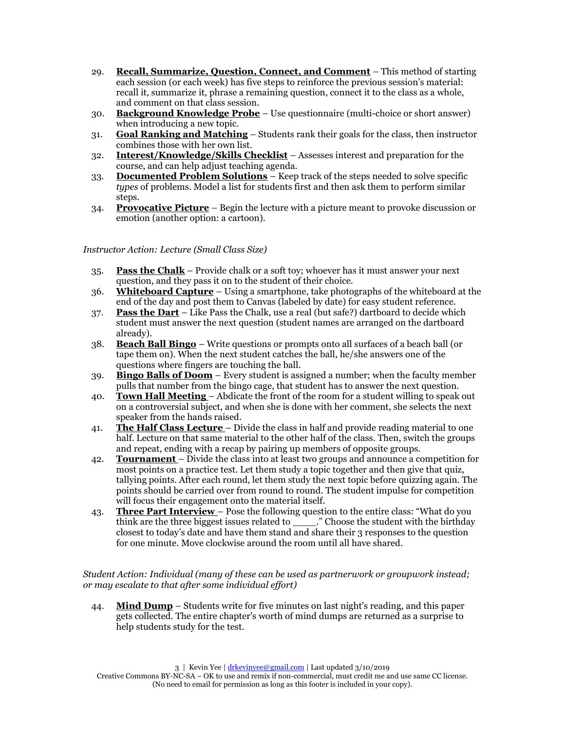- 29. **Recall, Summarize, Question, Connect, and Comment** This method of starting each session (or each week) has five steps to reinforce the previous session's material: recall it, summarize it, phrase a remaining question, connect it to the class as a whole, and comment on that class session.
- 30. **Background Knowledge Probe** Use questionnaire (multi-choice or short answer) when introducing a new topic.
- 31. **Goal Ranking and Matching** Students rank their goals for the class, then instructor combines those with her own list.
- 32. **Interest/Knowledge/Skills Checklist** Assesses interest and preparation for the course, and can help adjust teaching agenda.
- 33. **Documented Problem Solutions** Keep track of the steps needed to solve specific *types* of problems. Model a list for students first and then ask them to perform similar steps.
- 34. **Provocative Picture** Begin the lecture with a picture meant to provoke discussion or emotion (another option: a cartoon).

*Instructor Action: Lecture (Small Class Size)*

- 35. **Pass the Chalk** Provide chalk or a soft toy; whoever has it must answer your next question, and they pass it on to the student of their choice.
- 36. **Whiteboard Capture** Using a smartphone, take photographs of the whiteboard at the end of the day and post them to Canvas (labeled by date) for easy student reference.
- 37. **Pass the Dart** Like Pass the Chalk, use a real (but safe?) dartboard to decide which student must answer the next question (student names are arranged on the dartboard already).
- 38. **Beach Ball Bingo** Write questions or prompts onto all surfaces of a beach ball (or tape them on). When the next student catches the ball, he/she answers one of the questions where fingers are touching the ball.
- 39. **Bingo Balls of Doom** Every student is assigned a number; when the faculty member pulls that number from the bingo cage, that student has to answer the next question.
- 40. **Town Hall Meeting**  Abdicate the front of the room for a student willing to speak out on a controversial subject, and when she is done with her comment, she selects the next speaker from the hands raised.
- 41. **The Half Class Lecture**  Divide the class in half and provide reading material to one half. Lecture on that same material to the other half of the class. Then, switch the groups and repeat, ending with a recap by pairing up members of opposite groups.
- 42. **Tournament**  Divide the class into at least two groups and announce a competition for most points on a practice test. Let them study a topic together and then give that quiz, tallying points. After each round, let them study the next topic before quizzing again. The points should be carried over from round to round. The student impulse for competition will focus their engagement onto the material itself.
- 43. **Three Part Interview**  Pose the following question to the entire class: "What do you think are the three biggest issues related to \_\_\_\_." Choose the student with the birthday closest to today's date and have them stand and share their 3 responses to the question for one minute. Move clockwise around the room until all have shared.

*Student Action: Individual (many of these can be used as partnerwork or groupwork instead; or may escalate to that after some individual effort)*

44. **Mind Dump** – Students write for five minutes on last night's reading, and this paper gets collected. The entire chapter's worth of mind dumps are returned as a surprise to help students study for the test.

Creative Commons BY-NC-SA – OK to use and remix if non-commercial, must credit me and use same CC license. (No need to email for permission as long as this footer is included in your copy).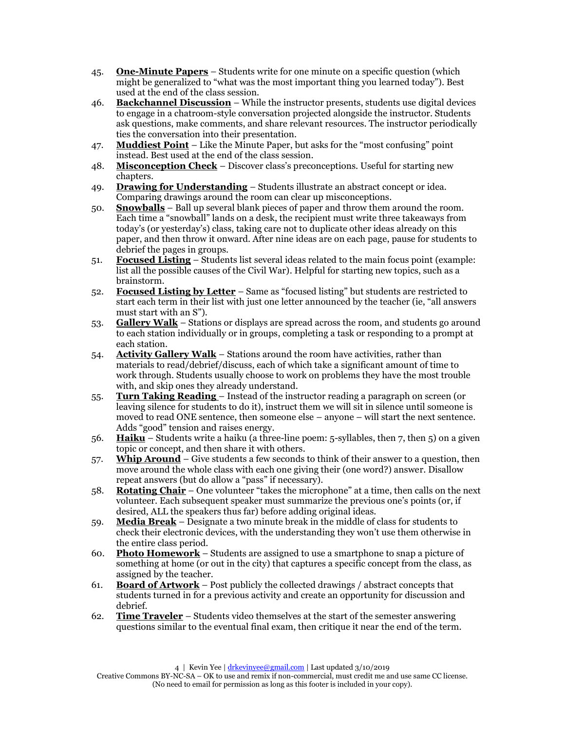- 45. **One-Minute Papers** Students write for one minute on a specific question (which might be generalized to "what was the most important thing you learned today"). Best used at the end of the class session.
- 46. **Backchannel Discussion** While the instructor presents, students use digital devices to engage in a chatroom-style conversation projected alongside the instructor. Students ask questions, make comments, and share relevant resources. The instructor periodically ties the conversation into their presentation.
- 47. **Muddiest Point** Like the Minute Paper, but asks for the "most confusing" point instead. Best used at the end of the class session.
- 48. **Misconception Check** Discover class's preconceptions. Useful for starting new chapters.
- 49. **Drawing for Understanding** Students illustrate an abstract concept or idea. Comparing drawings around the room can clear up misconceptions.
- 50. **Snowballs** Ball up several blank pieces of paper and throw them around the room. Each time a "snowball" lands on a desk, the recipient must write three takeaways from today's (or yesterday's) class, taking care not to duplicate other ideas already on this paper, and then throw it onward. After nine ideas are on each page, pause for students to debrief the pages in groups.
- 51. **Focused Listing** Students list several ideas related to the main focus point (example: list all the possible causes of the Civil War). Helpful for starting new topics, such as a brainstorm.
- 52. **Focused Listing by Letter** Same as "focused listing" but students are restricted to start each term in their list with just one letter announced by the teacher (ie, "all answers must start with an S").
- 53. **Gallery Walk** Stations or displays are spread across the room, and students go around to each station individually or in groups, completing a task or responding to a prompt at each station.
- 54. **Activity Gallery Walk** Stations around the room have activities, rather than materials to read/debrief/discuss, each of which take a significant amount of time to work through. Students usually choose to work on problems they have the most trouble with, and skip ones they already understand.
- 55. **Turn Taking Reading**  Instead of the instructor reading a paragraph on screen (or leaving silence for students to do it), instruct them we will sit in silence until someone is moved to read ONE sentence, then someone else – anyone – will start the next sentence. Adds "good" tension and raises energy.
- 56. **Haiku** Students write a haiku (a three-line poem: 5-syllables, then 7, then 5) on a given topic or concept, and then share it with others.
- 57. **Whip Around** Give students a few seconds to think of their answer to a question, then move around the whole class with each one giving their (one word?) answer. Disallow repeat answers (but do allow a "pass" if necessary).
- 58. **Rotating Chair** One volunteer "takes the microphone" at a time, then calls on the next volunteer. Each subsequent speaker must summarize the previous one's points (or, if desired, ALL the speakers thus far) before adding original ideas.
- 59. **Media Break** Designate a two minute break in the middle of class for students to check their electronic devices, with the understanding they won't use them otherwise in the entire class period.
- 60. **Photo Homework** Students are assigned to use a smartphone to snap a picture of something at home (or out in the city) that captures a specific concept from the class, as assigned by the teacher.
- 61. **Board of Artwork** Post publicly the collected drawings / abstract concepts that students turned in for a previous activity and create an opportunity for discussion and debrief.
- 62. **Time Traveler** Students video themselves at the start of the semester answering questions similar to the eventual final exam, then critique it near the end of the term.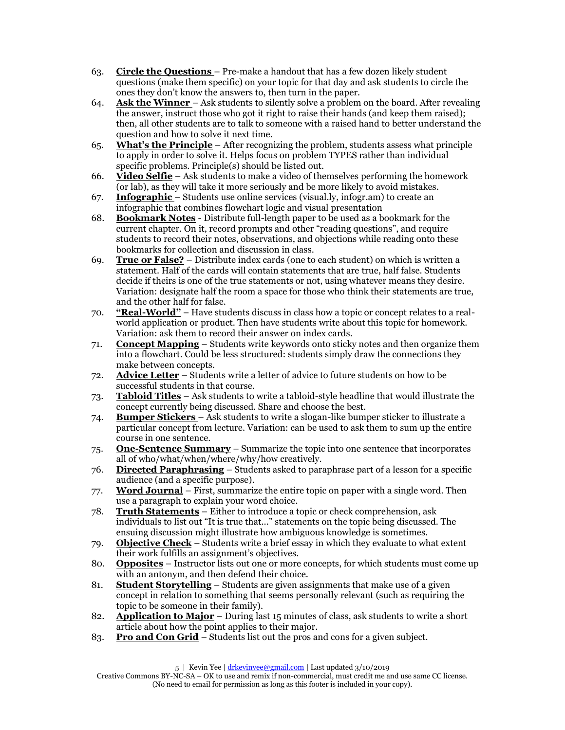- 63. **Circle the Questions**  Pre-make a handout that has a few dozen likely student questions (make them specific) on your topic for that day and ask students to circle the ones they don't know the answers to, then turn in the paper.
- 64. **Ask the Winner**  Ask students to silently solve a problem on the board. After revealing the answer, instruct those who got it right to raise their hands (and keep them raised); then, all other students are to talk to someone with a raised hand to better understand the question and how to solve it next time.
- 65. **What's the Principle** After recognizing the problem, students assess what principle to apply in order to solve it. Helps focus on problem TYPES rather than individual specific problems. Principle(s) should be listed out.
- 66. **Video Selfie** Ask students to make a video of themselves performing the homework (or lab), as they will take it more seriously and be more likely to avoid mistakes.
- 67. **Infographic**  Students use online services (visual.ly, infogr.am) to create an infographic that combines flowchart logic and visual presentation
- 68. **Bookmark Notes** Distribute full-length paper to be used as a bookmark for the current chapter. On it, record prompts and other "reading questions", and require students to record their notes, observations, and objections while reading onto these bookmarks for collection and discussion in class.
- 69. **True or False?** Distribute index cards (one to each student) on which is written a statement. Half of the cards will contain statements that are true, half false. Students decide if theirs is one of the true statements or not, using whatever means they desire. Variation: designate half the room a space for those who think their statements are true, and the other half for false.
- 70. **"Real-World"** Have students discuss in class how a topic or concept relates to a realworld application or product. Then have students write about this topic for homework. Variation: ask them to record their answer on index cards.
- 71. **Concept Mapping** Students write keywords onto sticky notes and then organize them into a flowchart. Could be less structured: students simply draw the connections they make between concepts.
- 72. **Advice Letter** Students write a letter of advice to future students on how to be successful students in that course.
- 73. **Tabloid Titles** Ask students to write a tabloid-style headline that would illustrate the concept currently being discussed. Share and choose the best.
- 74. **Bumper Stickers**  Ask students to write a slogan-like bumper sticker to illustrate a particular concept from lecture. Variation: can be used to ask them to sum up the entire course in one sentence.
- 75. **One-Sentence Summary** Summarize the topic into one sentence that incorporates all of who/what/when/where/why/how creatively.
- 76. **Directed Paraphrasing** Students asked to paraphrase part of a lesson for a specific audience (and a specific purpose).
- 77. **Word Journal** First, summarize the entire topic on paper with a single word. Then use a paragraph to explain your word choice.
- 78. **Truth Statements** Either to introduce a topic or check comprehension, ask individuals to list out "It is true that..." statements on the topic being discussed. The ensuing discussion might illustrate how ambiguous knowledge is sometimes.
- 79. **Objective Check** Students write a brief essay in which they evaluate to what extent their work fulfills an assignment's objectives.
- 80. **Opposites** Instructor lists out one or more concepts, for which students must come up with an antonym, and then defend their choice.
- 81. **Student Storytelling** Students are given assignments that make use of a given concept in relation to something that seems personally relevant (such as requiring the topic to be someone in their family).
- 82. **Application to Major** During last 15 minutes of class, ask students to write a short article about how the point applies to their major.
- 83. **Pro and Con Grid** Students list out the pros and cons for a given subject.

5 | Kevin Yee [| drkevinyee@gmail.com](mailto:drkevinyee@gmail.com) | Last updated 3/10/2019

Creative Commons BY-NC-SA – OK to use and remix if non-commercial, must credit me and use same CC license. (No need to email for permission as long as this footer is included in your copy).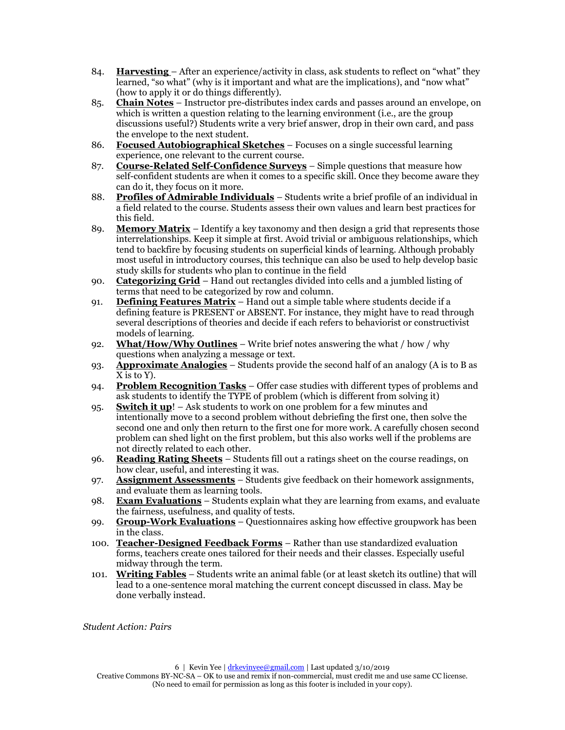- 84. **Harvesting**  After an experience/activity in class, ask students to reflect on "what" they learned, "so what" (why is it important and what are the implications), and "now what" (how to apply it or do things differently).
- 85. **Chain Notes** Instructor pre-distributes index cards and passes around an envelope, on which is written a question relating to the learning environment (i.e., are the group discussions useful?) Students write a very brief answer, drop in their own card, and pass the envelope to the next student.
- 86. **Focused Autobiographical Sketches** Focuses on a single successful learning experience, one relevant to the current course.
- 87. **Course-Related Self-Confidence Surveys** Simple questions that measure how self-confident students are when it comes to a specific skill. Once they become aware they can do it, they focus on it more.
- 88. **Profiles of Admirable Individuals** Students write a brief profile of an individual in a field related to the course. Students assess their own values and learn best practices for this field.
- 89. **Memory Matrix** Identify a key taxonomy and then design a grid that represents those interrelationships. Keep it simple at first. Avoid trivial or ambiguous relationships, which tend to backfire by focusing students on superficial kinds of learning. Although probably most useful in introductory courses, this technique can also be used to help develop basic study skills for students who plan to continue in the field
- 90. **Categorizing Grid** Hand out rectangles divided into cells and a jumbled listing of terms that need to be categorized by row and column.
- 91. **Defining Features Matrix** Hand out a simple table where students decide if a defining feature is PRESENT or ABSENT. For instance, they might have to read through several descriptions of theories and decide if each refers to behaviorist or constructivist models of learning.
- 92. **What/How/Why Outlines** Write brief notes answering the what / how / why questions when analyzing a message or text.
- 93. **Approximate Analogies** Students provide the second half of an analogy (A is to B as X is to Y).
- 94. **Problem Recognition Tasks** Offer case studies with different types of problems and ask students to identify the TYPE of problem (which is different from solving it)
- 95. **Switch it up**! Ask students to work on one problem for a few minutes and intentionally move to a second problem without debriefing the first one, then solve the second one and only then return to the first one for more work. A carefully chosen second problem can shed light on the first problem, but this also works well if the problems are not directly related to each other.
- 96. **Reading Rating Sheets** Students fill out a ratings sheet on the course readings, on how clear, useful, and interesting it was.
- 97. **Assignment Assessments** Students give feedback on their homework assignments, and evaluate them as learning tools.
- 98. **Exam Evaluations** Students explain what they are learning from exams, and evaluate the fairness, usefulness, and quality of tests.
- 99. **Group-Work Evaluations** Questionnaires asking how effective groupwork has been in the class.
- 100. **Teacher-Designed Feedback Forms** Rather than use standardized evaluation forms, teachers create ones tailored for their needs and their classes. Especially useful midway through the term.
- 101. **Writing Fables** Students write an animal fable (or at least sketch its outline) that will lead to a one-sentence moral matching the current concept discussed in class. May be done verbally instead.

*Student Action: Pairs*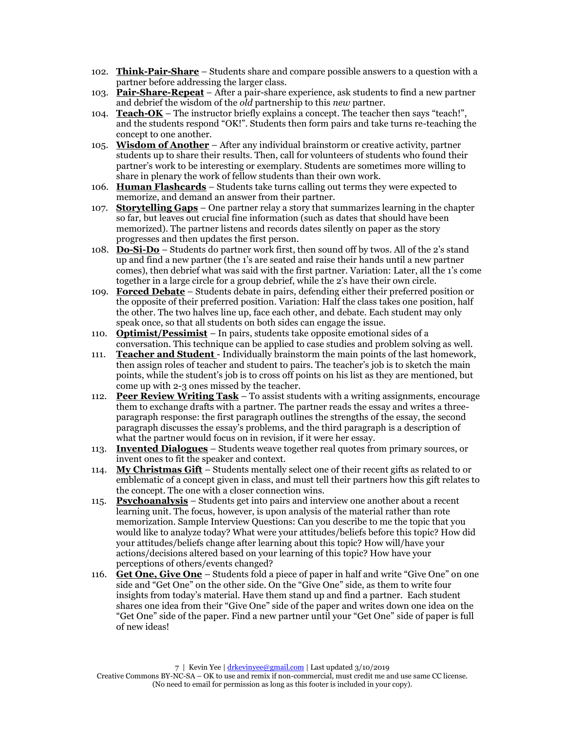- 102. **Think-Pair-Share** Students share and compare possible answers to a question with a partner before addressing the larger class.
- 103. **Pair-Share-Repeat** After a pair-share experience, ask students to find a new partner and debrief the wisdom of the *old* partnership to this *new* partner.
- 104. **Teach-OK** The instructor briefly explains a concept. The teacher then says "teach!", and the students respond "OK!". Students then form pairs and take turns re-teaching the concept to one another.
- 105. **Wisdom of Another** After any individual brainstorm or creative activity, partner students up to share their results. Then, call for volunteers of students who found their partner's work to be interesting or exemplary. Students are sometimes more willing to share in plenary the work of fellow students than their own work.
- 106. **Human Flashcards** Students take turns calling out terms they were expected to memorize, and demand an answer from their partner.
- 107. **Storytelling Gaps** One partner relay a story that summarizes learning in the chapter so far, but leaves out crucial fine information (such as dates that should have been memorized). The partner listens and records dates silently on paper as the story progresses and then updates the first person.
- 108. **Do-Si-Do** Students do partner work first, then sound off by twos. All of the 2's stand up and find a new partner (the 1's are seated and raise their hands until a new partner comes), then debrief what was said with the first partner. Variation: Later, all the 1's come together in a large circle for a group debrief, while the 2's have their own circle.
- 109. **Forced Debate** Students debate in pairs, defending either their preferred position or the opposite of their preferred position. Variation: Half the class takes one position, half the other. The two halves line up, face each other, and debate. Each student may only speak once, so that all students on both sides can engage the issue.
- 110. **Optimist/Pessimist** In pairs, students take opposite emotional sides of a conversation. This technique can be applied to case studies and problem solving as well.
- 111. **Teacher and Student**  Individually brainstorm the main points of the last homework, then assign roles of teacher and student to pairs. The teacher's job is to sketch the main points, while the student's job is to cross off points on his list as they are mentioned, but come up with 2-3 ones missed by the teacher.
- 112. **Peer Review Writing Task** To assist students with a writing assignments, encourage them to exchange drafts with a partner. The partner reads the essay and writes a threeparagraph response: the first paragraph outlines the strengths of the essay, the second paragraph discusses the essay's problems, and the third paragraph is a description of what the partner would focus on in revision, if it were her essay.
- 113. **Invented Dialogues** Students weave together real quotes from primary sources, or invent ones to fit the speaker and context.
- 114. **My Christmas Gift** Students mentally select one of their recent gifts as related to or emblematic of a concept given in class, and must tell their partners how this gift relates to the concept. The one with a closer connection wins.
- 115. **Psychoanalysis** Students get into pairs and interview one another about a recent learning unit. The focus, however, is upon analysis of the material rather than rote memorization. Sample Interview Questions: Can you describe to me the topic that you would like to analyze today? What were your attitudes/beliefs before this topic? How did your attitudes/beliefs change after learning about this topic? How will/have your actions/decisions altered based on your learning of this topic? How have your perceptions of others/events changed?
- 116. **Get One, Give One** Students fold a piece of paper in half and write "Give One" on one side and "Get One" on the other side. On the "Give One" side, as them to write four insights from today's material. Have them stand up and find a partner. Each student shares one idea from their "Give One" side of the paper and writes down one idea on the "Get One" side of the paper. Find a new partner until your "Get One" side of paper is full of new ideas!

Creative Commons BY-NC-SA – OK to use and remix if non-commercial, must credit me and use same CC license. (No need to email for permission as long as this footer is included in your copy).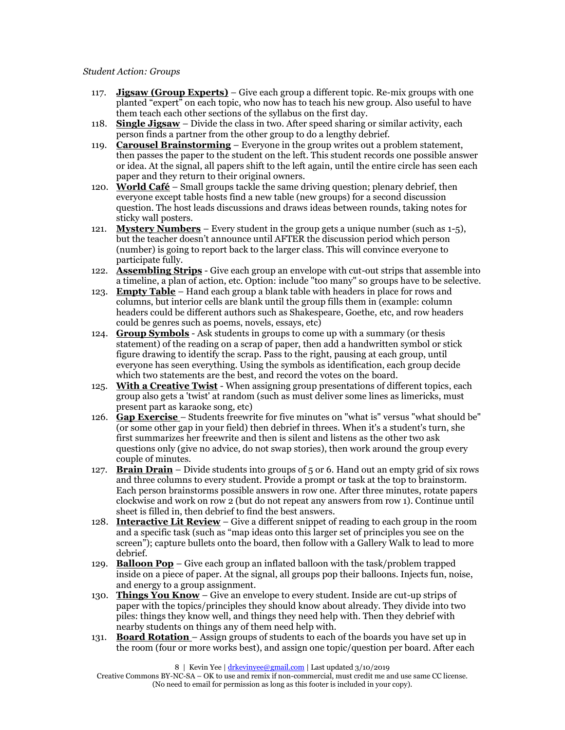#### *Student Action: Groups*

- 117. **Jigsaw (Group Experts)** Give each group a different topic. Re-mix groups with one planted "expert" on each topic, who now has to teach his new group. Also useful to have them teach each other sections of the syllabus on the first day.
- 118. **Single Jigsaw** Divide the class in two. After speed sharing or similar activity, each person finds a partner from the other group to do a lengthy debrief.
- 119. **Carousel Brainstorming** Everyone in the group writes out a problem statement, then passes the paper to the student on the left. This student records one possible answer or idea. At the signal, all papers shift to the left again, until the entire circle has seen each paper and they return to their original owners.
- 120. **World Café** Small groups tackle the same driving question; plenary debrief, then everyone except table hosts find a new table (new groups) for a second discussion question. The host leads discussions and draws ideas between rounds, taking notes for sticky wall posters.
- 121. **Mystery Numbers** Every student in the group gets a unique number (such as 1-5), but the teacher doesn't announce until AFTER the discussion period which person (number) is going to report back to the larger class. This will convince everyone to participate fully.
- 122. **Assembling Strips** Give each group an envelope with cut-out strips that assemble into a timeline, a plan of action, etc. Option: include "too many" so groups have to be selective.
- 123. **Empty Table** Hand each group a blank table with headers in place for rows and columns, but interior cells are blank until the group fills them in (example: column headers could be different authors such as Shakespeare, Goethe, etc, and row headers could be genres such as poems, novels, essays, etc)
- 124. **Group Symbols** Ask students in groups to come up with a summary (or thesis statement) of the reading on a scrap of paper, then add a handwritten symbol or stick figure drawing to identify the scrap. Pass to the right, pausing at each group, until everyone has seen everything. Using the symbols as identification, each group decide which two statements are the best, and record the votes on the board.
- 125. **With a Creative Twist** When assigning group presentations of different topics, each group also gets a 'twist' at random (such as must deliver some lines as limericks, must present part as karaoke song, etc)
- 126. **Gap Exercise**  Students freewrite for five minutes on "what is" versus "what should be" (or some other gap in your field) then debrief in threes. When it's a student's turn, she first summarizes her freewrite and then is silent and listens as the other two ask questions only (give no advice, do not swap stories), then work around the group every couple of minutes.
- 127. **Brain Drain** Divide students into groups of 5 or 6. Hand out an empty grid of six rows and three columns to every student. Provide a prompt or task at the top to brainstorm. Each person brainstorms possible answers in row one. After three minutes, rotate papers clockwise and work on row 2 (but do not repeat any answers from row 1). Continue until sheet is filled in, then debrief to find the best answers.
- 128. **Interactive Lit Review** Give a different snippet of reading to each group in the room and a specific task (such as "map ideas onto this larger set of principles you see on the screen"); capture bullets onto the board, then follow with a Gallery Walk to lead to more debrief.
- 129. **Balloon Pop** Give each group an inflated balloon with the task/problem trapped inside on a piece of paper. At the signal, all groups pop their balloons. Injects fun, noise, and energy to a group assignment.
- 130. **Things You Know** Give an envelope to every student. Inside are cut-up strips of paper with the topics/principles they should know about already. They divide into two piles: things they know well, and things they need help with. Then they debrief with nearby students on things any of them need help with.
- 131. **Board Rotation**  Assign groups of students to each of the boards you have set up in the room (four or more works best), and assign one topic/question per board. After each

8 | Kevin Yee [| drkevinyee@gmail.com](mailto:drkevinyee@gmail.com) | Last updated 3/10/2019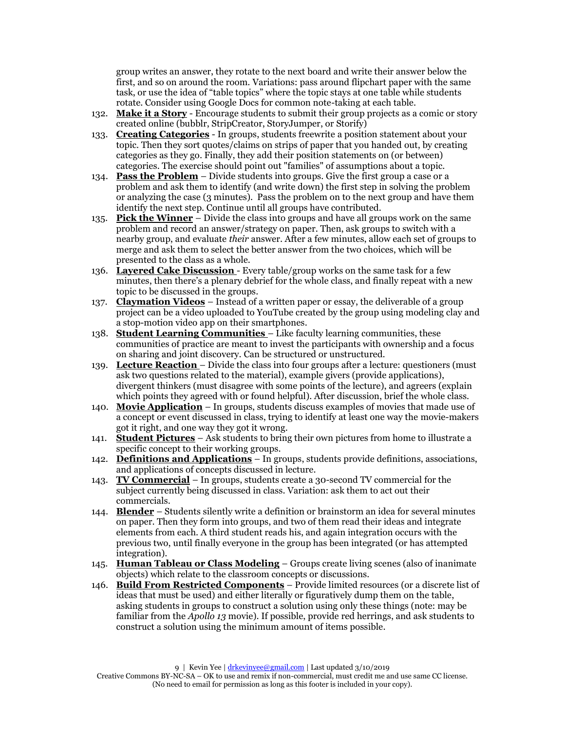group writes an answer, they rotate to the next board and write their answer below the first, and so on around the room. Variations: pass around flipchart paper with the same task, or use the idea of "table topics" where the topic stays at one table while students rotate. Consider using Google Docs for common note-taking at each table.

- 132. **Make it a Story** Encourage students to submit their group projects as a comic or story created online (bubblr, StripCreator, StoryJumper, or Storify)
- 133. **Creating Categories** In groups, students freewrite a position statement about your topic. Then they sort quotes/claims on strips of paper that you handed out, by creating categories as they go. Finally, they add their position statements on (or between) categories. The exercise should point out "families" of assumptions about a topic.
- 134. **Pass the Problem** Divide students into groups. Give the first group a case or a problem and ask them to identify (and write down) the first step in solving the problem or analyzing the case (3 minutes). Pass the problem on to the next group and have them identify the next step. Continue until all groups have contributed.
- 135. **Pick the Winner** Divide the class into groups and have all groups work on the same problem and record an answer/strategy on paper. Then, ask groups to switch with a nearby group, and evaluate *their* answer. After a few minutes, allow each set of groups to merge and ask them to select the better answer from the two choices, which will be presented to the class as a whole.
- 136. **Layered Cake Discussion**  Every table/group works on the same task for a few minutes, then there's a plenary debrief for the whole class, and finally repeat with a new topic to be discussed in the groups.
- 137. **Claymation Videos** Instead of a written paper or essay, the deliverable of a group project can be a video uploaded to YouTube created by the group using modeling clay and a stop-motion video app on their smartphones.
- 138. **Student Learning Communities**  Like faculty learning communities, these communities of practice are meant to invest the participants with ownership and a focus on sharing and joint discovery. Can be structured or unstructured.
- 139. **Lecture Reaction**  Divide the class into four groups after a lecture: questioners (must ask two questions related to the material), example givers (provide applications), divergent thinkers (must disagree with some points of the lecture), and agreers (explain which points they agreed with or found helpful). After discussion, brief the whole class.
- 140. **Movie Application** In groups, students discuss examples of movies that made use of a concept or event discussed in class, trying to identify at least one way the movie-makers got it right, and one way they got it wrong.
- 141. **Student Pictures** Ask students to bring their own pictures from home to illustrate a specific concept to their working groups.
- 142. **Definitions and Applications** In groups, students provide definitions, associations, and applications of concepts discussed in lecture.
- 143. **TV Commercial** In groups, students create a 30-second TV commercial for the subject currently being discussed in class. Variation: ask them to act out their commercials.
- 144. **Blender** Students silently write a definition or brainstorm an idea for several minutes on paper. Then they form into groups, and two of them read their ideas and integrate elements from each. A third student reads his, and again integration occurs with the previous two, until finally everyone in the group has been integrated (or has attempted integration).
- 145. **Human Tableau or Class Modeling** Groups create living scenes (also of inanimate objects) which relate to the classroom concepts or discussions.
- 146. **Build From Restricted Components** Provide limited resources (or a discrete list of ideas that must be used) and either literally or figuratively dump them on the table, asking students in groups to construct a solution using only these things (note: may be familiar from the *Apollo 13* movie). If possible, provide red herrings, and ask students to construct a solution using the minimum amount of items possible.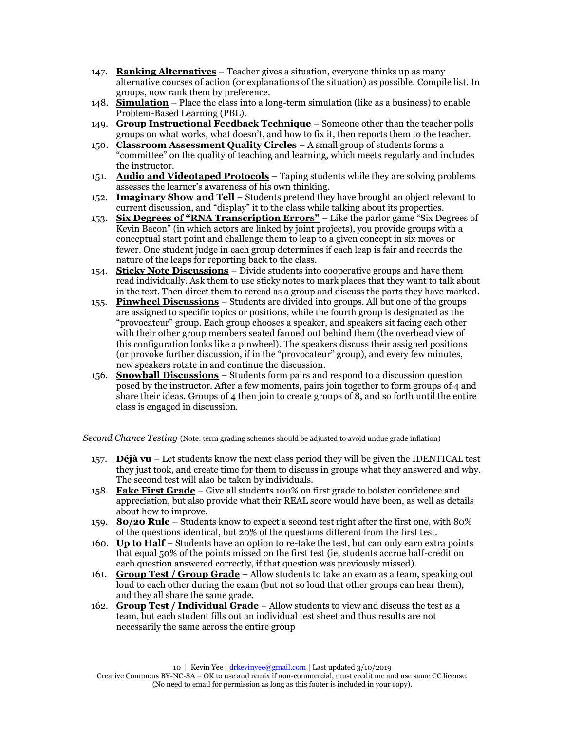- 147. **Ranking Alternatives** Teacher gives a situation, everyone thinks up as many alternative courses of action (or explanations of the situation) as possible. Compile list. In groups, now rank them by preference.
- 148. **Simulation** Place the class into a long-term simulation (like as a business) to enable Problem-Based Learning (PBL).
- 149. **Group Instructional Feedback Technique** Someone other than the teacher polls groups on what works, what doesn't, and how to fix it, then reports them to the teacher.
- 150. **Classroom Assessment Quality Circles** A small group of students forms a "committee" on the quality of teaching and learning, which meets regularly and includes the instructor.
- 151. **Audio and Videotaped Protocols** Taping students while they are solving problems assesses the learner's awareness of his own thinking.
- 152. **Imaginary Show and Tell** Students pretend they have brought an object relevant to current discussion, and "display" it to the class while talking about its properties.
- 153. **Six Degrees of "RNA Transcription Errors"** Like the parlor game "Six Degrees of Kevin Bacon" (in which actors are linked by joint projects), you provide groups with a conceptual start point and challenge them to leap to a given concept in six moves or fewer. One student judge in each group determines if each leap is fair and records the nature of the leaps for reporting back to the class.
- 154. **Sticky Note Discussions** Divide students into cooperative groups and have them read individually. Ask them to use sticky notes to mark places that they want to talk about in the text. Then direct them to reread as a group and discuss the parts they have marked.
- 155. **Pinwheel Discussions** Students are divided into groups. All but one of the groups are assigned to specific topics or positions, while the fourth group is designated as the "provocateur" group. Each group chooses a speaker, and speakers sit facing each other with their other group members seated fanned out behind them (the overhead view of this configuration looks like a pinwheel). The speakers discuss their assigned positions (or provoke further discussion, if in the "provocateur" group), and every few minutes, new speakers rotate in and continue the discussion.
- 156. **Snowball Discussions** Students form pairs and respond to a discussion question posed by the instructor. After a few moments, pairs join together to form groups of 4 and share their ideas. Groups of 4 then join to create groups of 8, and so forth until the entire class is engaged in discussion.

*Second Chance Testing* (Note: term grading schemes should be adjusted to avoid undue grade inflation)

- 157. **Déjà vu** Let students know the next class period they will be given the IDENTICAL test they just took, and create time for them to discuss in groups what they answered and why. The second test will also be taken by individuals.
- 158. **Fake First Grade** Give all students 100% on first grade to bolster confidence and appreciation, but also provide what their REAL score would have been, as well as details about how to improve.
- 159. **80/20 Rule** Students know to expect a second test right after the first one, with 80% of the questions identical, but 20% of the questions different from the first test.
- 160. **Up to Half** Students have an option to re-take the test, but can only earn extra points that equal 50% of the points missed on the first test (ie, students accrue half-credit on each question answered correctly, if that question was previously missed).
- 161. **Group Test / Group Grade** Allow students to take an exam as a team, speaking out loud to each other during the exam (but not so loud that other groups can hear them), and they all share the same grade.
- 162. **Group Test / Individual Grade** Allow students to view and discuss the test as a team, but each student fills out an individual test sheet and thus results are not necessarily the same across the entire group

Creative Commons BY-NC-SA – OK to use and remix if non-commercial, must credit me and use same CC license. (No need to email for permission as long as this footer is included in your copy).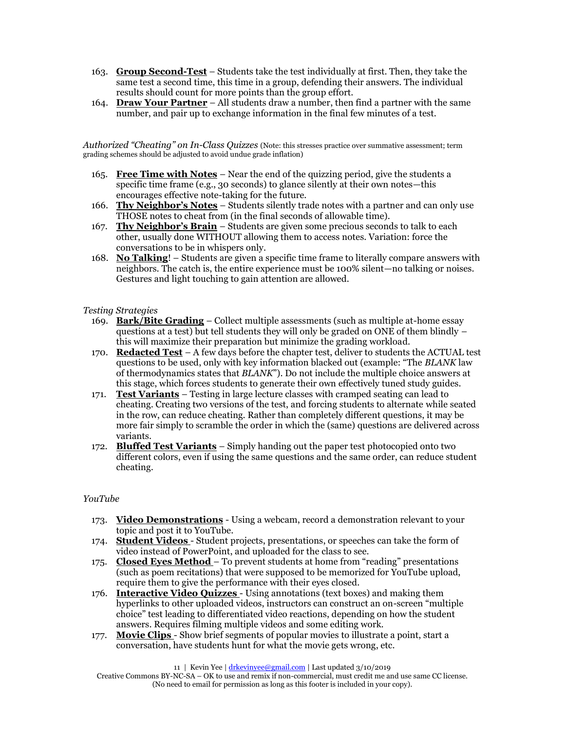- 163. **Group Second-Test** Students take the test individually at first. Then, they take the same test a second time, this time in a group, defending their answers. The individual results should count for more points than the group effort.
- 164. **Draw Your Partner** All students draw a number, then find a partner with the same number, and pair up to exchange information in the final few minutes of a test.

*Authorized "Cheating" on In-Class Quizzes* (Note: this stresses practice over summative assessment; term grading schemes should be adjusted to avoid undue grade inflation)

- 165. **Free Time with Notes** Near the end of the quizzing period, give the students a specific time frame (e.g., 30 seconds) to glance silently at their own notes—this encourages effective note-taking for the future.
- 166. **Thy Neighbor's Notes** Students silently trade notes with a partner and can only use THOSE notes to cheat from (in the final seconds of allowable time).
- 167. **Thy Neighbor's Brain** Students are given some precious seconds to talk to each other, usually done WITHOUT allowing them to access notes. Variation: force the conversations to be in whispers only.
- 168. **No Talking**! Students are given a specific time frame to literally compare answers with neighbors. The catch is, the entire experience must be 100% silent—no talking or noises. Gestures and light touching to gain attention are allowed.

#### *Testing Strategies*

- 169. **Bark/Bite Grading** Collect multiple assessments (such as multiple at-home essay questions at a test) but tell students they will only be graded on ONE of them blindly  $$ this will maximize their preparation but minimize the grading workload.
- 170. **Redacted Test** A few days before the chapter test, deliver to students the ACTUAL test questions to be used, only with key information blacked out (example: "The *BLANK* law of thermodynamics states that *BLANK*"). Do not include the multiple choice answers at this stage, which forces students to generate their own effectively tuned study guides.
- 171. **Test Variants** Testing in large lecture classes with cramped seating can lead to cheating. Creating two versions of the test, and forcing students to alternate while seated in the row, can reduce cheating. Rather than completely different questions, it may be more fair simply to scramble the order in which the (same) questions are delivered across variants.
- 172. **Bluffed Test Variants** Simply handing out the paper test photocopied onto two different colors, even if using the same questions and the same order, can reduce student cheating.

## *YouTube*

- 173. **Video Demonstrations** Using a webcam, record a demonstration relevant to your topic and post it to YouTube.
- 174. **Student Videos**  Student projects, presentations, or speeches can take the form of video instead of PowerPoint, and uploaded for the class to see.
- 175. **Closed Eyes Method**  To prevent students at home from "reading" presentations (such as poem recitations) that were supposed to be memorized for YouTube upload, require them to give the performance with their eyes closed.
- 176. **Interactive Video Quizzes**  Using annotations (text boxes) and making them hyperlinks to other uploaded videos, instructors can construct an on-screen "multiple choice" test leading to differentiated video reactions, depending on how the student answers. Requires filming multiple videos and some editing work.
- 177. **Movie Clips**  Show brief segments of popular movies to illustrate a point, start a conversation, have students hunt for what the movie gets wrong, etc.

11 | Kevin Yee [| drkevinyee@gmail.com](mailto:drkevinyee@gmail.com) | Last updated 3/10/2019

Creative Commons BY-NC-SA – OK to use and remix if non-commercial, must credit me and use same CC license. (No need to email for permission as long as this footer is included in your copy).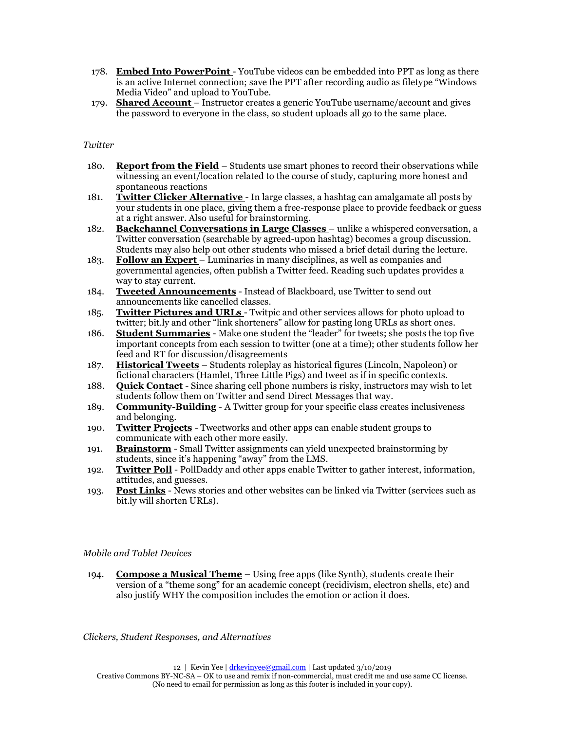- 178. **Embed Into PowerPoint**  YouTube videos can be embedded into PPT as long as there is an active Internet connection; save the PPT after recording audio as filetype "Windows Media Video" and upload to YouTube.
- 179. **Shared Account**  Instructor creates a generic YouTube username/account and gives the password to everyone in the class, so student uploads all go to the same place.

#### *Twitter*

- 180. **Report from the Field** Students use smart phones to record their observations while witnessing an event/location related to the course of study, capturing more honest and spontaneous reactions
- 181. **Twitter Clicker Alternative**  In large classes, a hashtag can amalgamate all posts by your students in one place, giving them a free-response place to provide feedback or guess at a right answer. Also useful for brainstorming.
- 182. **Backchannel Conversations in Large Classes**  unlike a whispered conversation, a Twitter conversation (searchable by agreed-upon hashtag) becomes a group discussion. Students may also help out other students who missed a brief detail during the lecture.
- 183. **Follow an Expert**  Luminaries in many disciplines, as well as companies and governmental agencies, often publish a Twitter feed. Reading such updates provides a way to stay current.
- 184. **Tweeted Announcements** Instead of Blackboard, use Twitter to send out announcements like cancelled classes.
- 185. **Twitter Pictures and URLs**  Twitpic and other services allows for photo upload to twitter; bit.ly and other "link shorteners" allow for pasting long URLs as short ones.
- 186. **Student Summaries** Make one student the "leader" for tweets; she posts the top five important concepts from each session to twitter (one at a time); other students follow her feed and RT for discussion/disagreements
- 187. **Historical Tweets** Students roleplay as historical figures (Lincoln, Napoleon) or fictional characters (Hamlet, Three Little Pigs) and tweet as if in specific contexts.
- 188. **Quick Contact** Since sharing cell phone numbers is risky, instructors may wish to let students follow them on Twitter and send Direct Messages that way.
- 189. **Community-Building** A Twitter group for your specific class creates inclusiveness and belonging.
- 190. **Twitter Projects** Tweetworks and other apps can enable student groups to communicate with each other more easily.
- 191. **Brainstorm** Small Twitter assignments can yield unexpected brainstorming by students, since it's happening "away" from the LMS.
- 192. **Twitter Poll** PollDaddy and other apps enable Twitter to gather interest, information, attitudes, and guesses.
- 193. **Post Links** News stories and other websites can be linked via Twitter (services such as bit.ly will shorten URLs).

## *Mobile and Tablet Devices*

194. **Compose a Musical Theme** – Using free apps (like Synth), students create their version of a "theme song" for an academic concept (recidivism, electron shells, etc) and also justify WHY the composition includes the emotion or action it does.

*Clickers, Student Responses, and Alternatives*

12 | Kevin Yee [| drkevinyee@gmail.com](mailto:drkevinyee@gmail.com) | Last updated 3/10/2019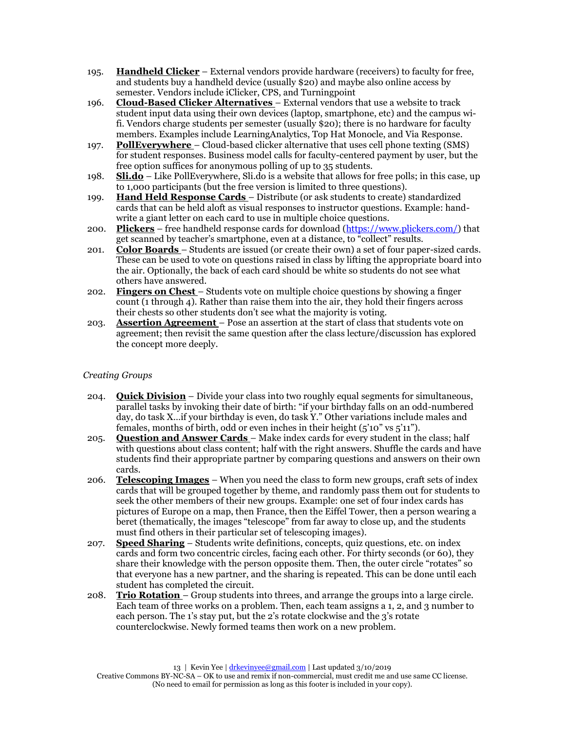- 195. **Handheld Clicker** External vendors provide hardware (receivers) to faculty for free, and students buy a handheld device (usually \$20) and maybe also online access by semester. Vendors include iClicker, CPS, and Turningpoint
- 196. **Cloud-Based Clicker Alternatives**  External vendors that use a website to track student input data using their own devices (laptop, smartphone, etc) and the campus wifi. Vendors charge students per semester (usually \$20); there is no hardware for faculty members. Examples include LearningAnalytics, Top Hat Monocle, and Via Response.
- 197. **PollEverywhere** Cloud-based clicker alternative that uses cell phone texting (SMS) for student responses. Business model calls for faculty-centered payment by user, but the free option suffices for anonymous polling of up to 35 students.
- 198. **Sli.do** Like PollEverywhere, Sli.do is a website that allows for free polls; in this case, up to 1,000 participants (but the free version is limited to three questions).
- 199. **Hand Held Response Cards**  Distribute (or ask students to create) standardized cards that can be held aloft as visual responses to instructor questions. Example: handwrite a giant letter on each card to use in multiple choice questions.
- 200. **Plickers** free handheld response cards for download [\(https://www.plickers.com/\)](https://www.plickers.com/) that get scanned by teacher's smartphone, even at a distance, to "collect" results.
- 201. **Color Boards**  Students are issued (or create their own) a set of four paper-sized cards. These can be used to vote on questions raised in class by lifting the appropriate board into the air. Optionally, the back of each card should be white so students do not see what others have answered.
- 202. **Fingers on Chest**  Students vote on multiple choice questions by showing a finger count (1 through 4). Rather than raise them into the air, they hold their fingers across their chests so other students don't see what the majority is voting.
- 203. **Assertion Agreement**  Pose an assertion at the start of class that students vote on agreement; then revisit the same question after the class lecture/discussion has explored the concept more deeply.

# *Creating Groups*

- 204. **Quick Division** Divide your class into two roughly equal segments for simultaneous, parallel tasks by invoking their date of birth: "if your birthday falls on an odd-numbered day, do task X…if your birthday is even, do task Y." Other variations include males and females, months of birth, odd or even inches in their height  $(5'10'' \text{ vs } 5'11'')$ .
- 205. **Question and Answer Cards**  Make index cards for every student in the class; half with questions about class content; half with the right answers. Shuffle the cards and have students find their appropriate partner by comparing questions and answers on their own cards.
- 206. **Telescoping Images** When you need the class to form new groups, craft sets of index cards that will be grouped together by theme, and randomly pass them out for students to seek the other members of their new groups. Example: one set of four index cards has pictures of Europe on a map, then France, then the Eiffel Tower, then a person wearing a beret (thematically, the images "telescope" from far away to close up, and the students must find others in their particular set of telescoping images).
- 207. **Speed Sharing** Students write definitions, concepts, quiz questions, etc. on index cards and form two concentric circles, facing each other. For thirty seconds (or 60), they share their knowledge with the person opposite them. Then, the outer circle "rotates" so that everyone has a new partner, and the sharing is repeated. This can be done until each student has completed the circuit.
- 208. **Trio Rotation**  Group students into threes, and arrange the groups into a large circle. Each team of three works on a problem. Then, each team assigns a 1, 2, and 3 number to each person. The 1's stay put, but the 2's rotate clockwise and the 3's rotate counterclockwise. Newly formed teams then work on a new problem.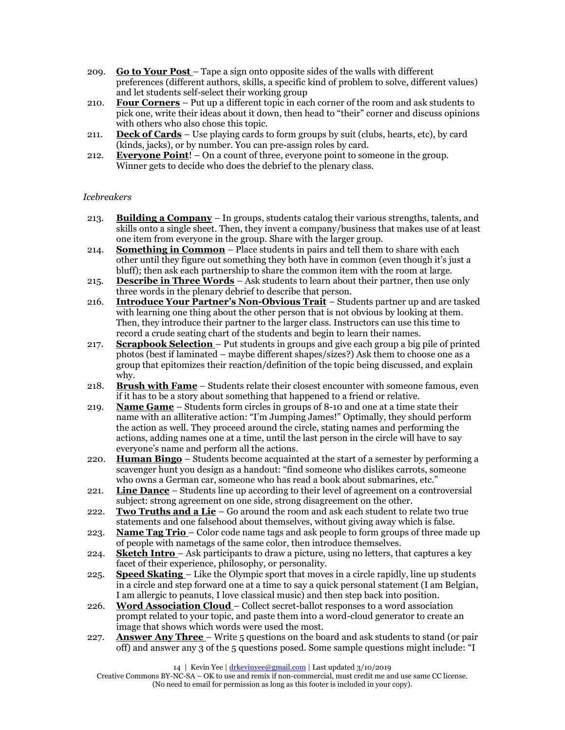- 209. **Go to Your Post**  Tape a sign onto opposite sides of the walls with different preferences (different authors, skills, a specific kind of problem to solve, different values) and let students self-select their working group
- 210. **Four Corners** Put up a different topic in each corner of the room and ask students to pick one, write their ideas about it down, then head to "their" corner and discuss opinions with others who also chose this topic.
- 211. **Deck of Cards** Use playing cards to form groups by suit (clubs, hearts, etc), by card (kinds, jacks), or by number. You can pre-assign roles by card.
- 212. **Everyone Point**! On a count of three, everyone point to someone in the group. Winner gets to decide who does the debrief to the plenary class.

## *Icebreakers*

- 213. **Building a Company** In groups, students catalog their various strengths, talents, and skills onto a single sheet. Then, they invent a company/business that makes use of at least one item from everyone in the group. Share with the larger group.
- 214. **Something in Common** Place students in pairs and tell them to share with each other until they figure out something they both have in common (even though it's just a bluff); then ask each partnership to share the common item with the room at large.
- 215. **Describe in Three Words** Ask students to learn about their partner, then use only three words in the plenary debrief to describe that person.
- 216. **Introduce Your Partner's Non-Obvious Trait** Students partner up and are tasked with learning one thing about the other person that is not obvious by looking at them. Then, they introduce their partner to the larger class. Instructors can use this time to record a crude seating chart of the students and begin to learn their names.
- 217. **Scrapbook Selection**  Put students in groups and give each group a big pile of printed photos (best if laminated – maybe different shapes/sizes?) Ask them to choose one as a group that epitomizes their reaction/definition of the topic being discussed, and explain why.
- 218. **Brush with Fame** Students relate their closest encounter with someone famous, even if it has to be a story about something that happened to a friend or relative.
- 219. **Name Game** Students form circles in groups of 8-10 and one at a time state their name with an alliterative action: "I'm Jumping James!" Optimally, they should perform the action as well. They proceed around the circle, stating names and performing the actions, adding names one at a time, until the last person in the circle will have to say everyone's name and perform all the actions.
- 220. **Human Bingo** Students become acquainted at the start of a semester by performing a scavenger hunt you design as a handout: "find someone who dislikes carrots, someone who owns a German car, someone who has read a book about submarines, etc."
- 221. **Line Dance** Students line up according to their level of agreement on a controversial subject: strong agreement on one side, strong disagreement on the other.
- 222. **Two Truths and a Lie** Go around the room and ask each student to relate two true statements and one falsehood about themselves, without giving away which is false.
- 223. **Name Tag Trio**  Color code name tags and ask people to form groups of three made up of people with nametags of the same color, then introduce themselves.
- 224. **Sketch Intro**  Ask participants to draw a picture, using no letters, that captures a key facet of their experience, philosophy, or personality.
- 225. **Speed Skating**  Like the Olympic sport that moves in a circle rapidly, line up students in a circle and step forward one at a time to say a quick personal statement (I am Belgian, I am allergic to peanuts, I love classical music) and then step back into position.
- 226. **Word Association Cloud**  Collect secret-ballot responses to a word association prompt related to your topic, and paste them into a word-cloud generator to create an image that shows which words were used the most.
- 227. **Answer Any Three**  Write 5 questions on the board and ask students to stand (or pair off) and answer any 3 of the 5 questions posed. Some sample questions might include: "I

14 | Kevin Yee [| drkevinyee@gmail.com](mailto:drkevinyee@gmail.com) | Last updated 3/10/2019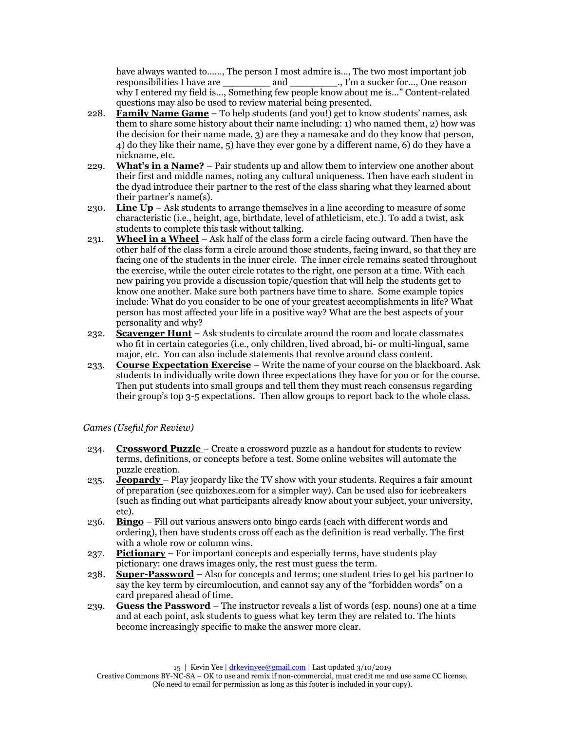have always wanted to……, The person I most admire is…, The two most important job responsibilities I have are  $\qquad \qquad$  and  $\qquad \qquad \ldots$ , I'm a sucker for  $\ldots$ , One reason why I entered my field is…, Something few people know about me is..." Content-related questions may also be used to review material being presented.

- 228. **Family Name Game** To help students (and you!) get to know students' names, ask them to share some history about their name including: 1) who named them, 2) how was the decision for their name made, 3) are they a namesake and do they know that person, 4) do they like their name, 5) have they ever gone by a different name, 6) do they have a nickname, etc.
- 229. **What's in a Name?** Pair students up and allow them to interview one another about their first and middle names, noting any cultural uniqueness. Then have each student in the dyad introduce their partner to the rest of the class sharing what they learned about their partner's name(s).
- 230. **Line Up** Ask students to arrange themselves in a line according to measure of some characteristic (i.e., height, age, birthdate, level of athleticism, etc.). To add a twist, ask students to complete this task without talking.
- 231. **Wheel in a Wheel** Ask half of the class form a circle facing outward. Then have the other half of the class form a circle around those students, facing inward, so that they are facing one of the students in the inner circle. The inner circle remains seated throughout the exercise, while the outer circle rotates to the right, one person at a time. With each new pairing you provide a discussion topic/question that will help the students get to know one another. Make sure both partners have time to share. Some example topics include: What do you consider to be one of your greatest accomplishments in life? What person has most affected your life in a positive way? What are the best aspects of your personality and why?
- 232. **Scavenger Hunt** Ask students to circulate around the room and locate classmates who fit in certain categories (i.e., only children, lived abroad, bi- or multi-lingual, same major, etc. You can also include statements that revolve around class content.
- 233. **Course Expectation Exercise** Write the name of your course on the blackboard. Ask students to individually write down three expectations they have for you or for the course. Then put students into small groups and tell them they must reach consensus regarding their group's top 3-5 expectations. Then allow groups to report back to the whole class.

*Games (Useful for Review)*

- 234. **Crossword Puzzle**  Create a crossword puzzle as a handout for students to review terms, definitions, or concepts before a test. Some online websites will automate the puzzle creation.
- 235. **Jeopardy**  Play jeopardy like the TV show with your students. Requires a fair amount of preparation (see quizboxes.com for a simpler way). Can be used also for icebreakers (such as finding out what participants already know about your subject, your university, etc).
- 236. **Bingo** Fill out various answers onto bingo cards (each with different words and ordering), then have students cross off each as the definition is read verbally. The first with a whole row or column wins.
- 237. **Pictionary** For important concepts and especially terms, have students play pictionary: one draws images only, the rest must guess the term.
- 238. **Super-Password** Also for concepts and terms; one student tries to get his partner to say the key term by circumlocution, and cannot say any of the "forbidden words" on a card prepared ahead of time.
- 239. **Guess the Password**  The instructor reveals a list of words (esp. nouns) one at a time and at each point, ask students to guess what key term they are related to. The hints become increasingly specific to make the answer more clear.

Creative Commons BY-NC-SA – OK to use and remix if non-commercial, must credit me and use same CC license. (No need to email for permission as long as this footer is included in your copy).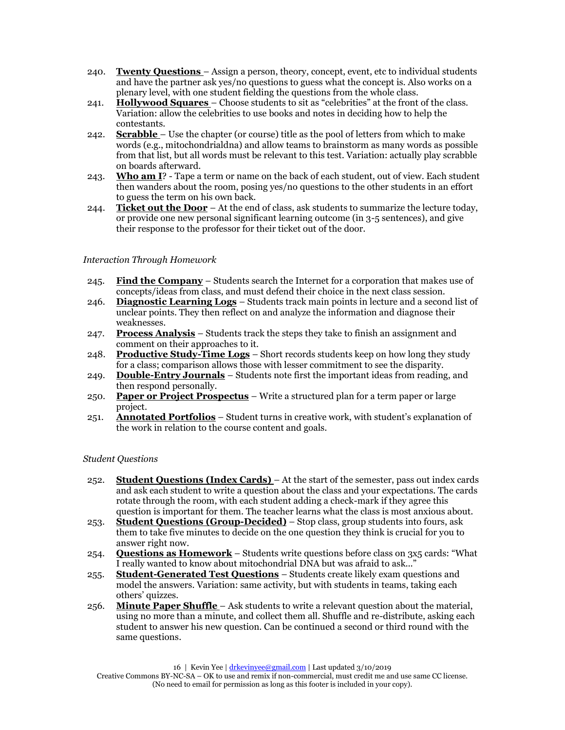- 240. **Twenty Questions**  Assign a person, theory, concept, event, etc to individual students and have the partner ask yes/no questions to guess what the concept is. Also works on a plenary level, with one student fielding the questions from the whole class.
- 241. **Hollywood Squares**  Choose students to sit as "celebrities" at the front of the class. Variation: allow the celebrities to use books and notes in deciding how to help the contestants.
- 242. **Scrabble**  Use the chapter (or course) title as the pool of letters from which to make words (e.g., mitochondrialdna) and allow teams to brainstorm as many words as possible from that list, but all words must be relevant to this test. Variation: actually play scrabble on boards afterward.
- 243. **Who am I**? Tape a term or name on the back of each student, out of view. Each student then wanders about the room, posing yes/no questions to the other students in an effort to guess the term on his own back.
- 244. **Ticket out the Door** At the end of class, ask students to summarize the lecture today, or provide one new personal significant learning outcome (in 3-5 sentences), and give their response to the professor for their ticket out of the door.

# *Interaction Through Homework*

- 245. **Find the Company** Students search the Internet for a corporation that makes use of concepts/ideas from class, and must defend their choice in the next class session.
- 246. **Diagnostic Learning Logs** Students track main points in lecture and a second list of unclear points. They then reflect on and analyze the information and diagnose their weaknesses.
- 247. **Process Analysis** Students track the steps they take to finish an assignment and comment on their approaches to it.
- 248. **Productive Study-Time Logs** Short records students keep on how long they study for a class; comparison allows those with lesser commitment to see the disparity.
- 249. **Double-Entry Journals** Students note first the important ideas from reading, and then respond personally.
- 250. **Paper or Project Prospectus** Write a structured plan for a term paper or large project.
- 251. **Annotated Portfolios** Student turns in creative work, with student's explanation of the work in relation to the course content and goals.

## *Student Questions*

- 252. **Student Questions (Index Cards)**  At the start of the semester, pass out index cards and ask each student to write a question about the class and your expectations. The cards rotate through the room, with each student adding a check-mark if they agree this question is important for them. The teacher learns what the class is most anxious about.
- 253. **Student Questions (Group-Decided)** Stop class, group students into fours, ask them to take five minutes to decide on the one question they think is crucial for you to answer right now.
- 254. **Questions as Homework** Students write questions before class on 3x5 cards: "What I really wanted to know about mitochondrial DNA but was afraid to ask...'
- 255. **Student-Generated Test Questions** Students create likely exam questions and model the answers. Variation: same activity, but with students in teams, taking each others' quizzes.
- 256. **Minute Paper Shuffle**  Ask students to write a relevant question about the material, using no more than a minute, and collect them all. Shuffle and re-distribute, asking each student to answer his new question. Can be continued a second or third round with the same questions.

<sup>16 |</sup> Kevin Yee [| drkevinyee@gmail.com](mailto:drkevinyee@gmail.com) | Last updated 3/10/2019

Creative Commons BY-NC-SA – OK to use and remix if non-commercial, must credit me and use same CC license. (No need to email for permission as long as this footer is included in your copy).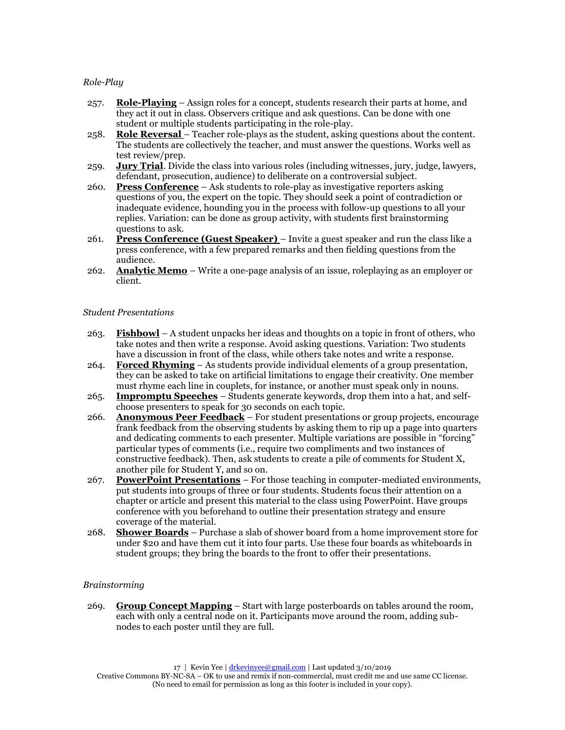## *Role-Play*

- 257. **Role-Playing** Assign roles for a concept, students research their parts at home, and they act it out in class. Observers critique and ask questions. Can be done with one student or multiple students participating in the role-play.
- 258. **Role Reversal**  Teacher role-plays as the student, asking questions about the content. The students are collectively the teacher, and must answer the questions. Works well as test review/prep.
- 259. **Jury Trial**. Divide the class into various roles (including witnesses, jury, judge, lawyers, defendant, prosecution, audience) to deliberate on a controversial subject.
- 260. **Press Conference** Ask students to role-play as investigative reporters asking questions of you, the expert on the topic. They should seek a point of contradiction or inadequate evidence, hounding you in the process with follow-up questions to all your replies. Variation: can be done as group activity, with students first brainstorming questions to ask.
- 261. **Press Conference (Guest Speaker)**  Invite a guest speaker and run the class like a press conference, with a few prepared remarks and then fielding questions from the audience.
- 262. **Analytic Memo** Write a one-page analysis of an issue, roleplaying as an employer or client.

#### *Student Presentations*

- 263. **Fishbowl** A student unpacks her ideas and thoughts on a topic in front of others, who take notes and then write a response. Avoid asking questions. Variation: Two students have a discussion in front of the class, while others take notes and write a response.
- 264. **Forced Rhyming** As students provide individual elements of a group presentation, they can be asked to take on artificial limitations to engage their creativity. One member must rhyme each line in couplets, for instance, or another must speak only in nouns.
- 265. **Impromptu Speeches** Students generate keywords, drop them into a hat, and selfchoose presenters to speak for 30 seconds on each topic.
- 266. **Anonymous Peer Feedback** For student presentations or group projects, encourage frank feedback from the observing students by asking them to rip up a page into quarters and dedicating comments to each presenter. Multiple variations are possible in "forcing" particular types of comments (i.e., require two compliments and two instances of constructive feedback). Then, ask students to create a pile of comments for Student X, another pile for Student Y, and so on.
- 267. **PowerPoint Presentations** For those teaching in computer-mediated environments, put students into groups of three or four students. Students focus their attention on a chapter or article and present this material to the class using PowerPoint. Have groups conference with you beforehand to outline their presentation strategy and ensure coverage of the material.
- 268. **Shower Boards** Purchase a slab of shower board from a home improvement store for under \$20 and have them cut it into four parts. Use these four boards as whiteboards in student groups; they bring the boards to the front to offer their presentations.

## *Brainstorming*

269. **Group Concept Mapping** – Start with large posterboards on tables around the room, each with only a central node on it. Participants move around the room, adding subnodes to each poster until they are full.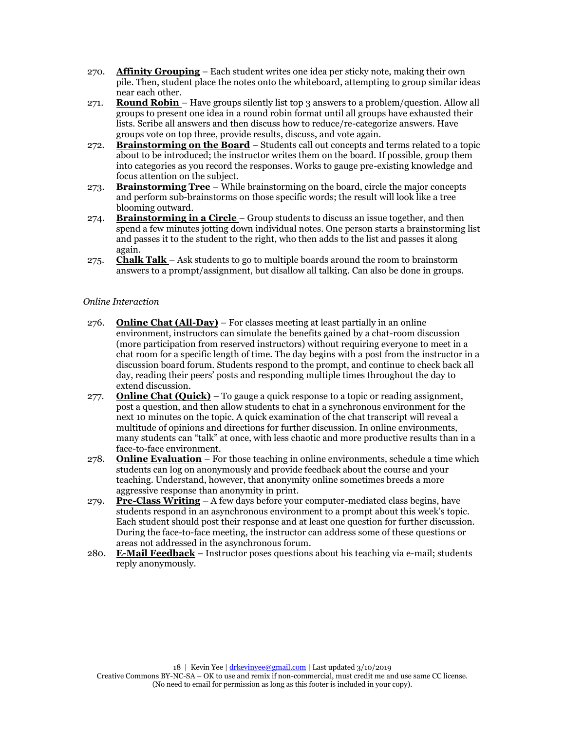- 270. **Affinity Grouping** Each student writes one idea per sticky note, making their own pile. Then, student place the notes onto the whiteboard, attempting to group similar ideas near each other.
- 271. **Round Robin**  Have groups silently list top 3 answers to a problem/question. Allow all groups to present one idea in a round robin format until all groups have exhausted their lists. Scribe all answers and then discuss how to reduce/re-categorize answers. Have groups vote on top three, provide results, discuss, and vote again.
- 272. **Brainstorming on the Board** Students call out concepts and terms related to a topic about to be introduced; the instructor writes them on the board. If possible, group them into categories as you record the responses. Works to gauge pre-existing knowledge and focus attention on the subject.
- 273. **Brainstorming Tree**  While brainstorming on the board, circle the major concepts and perform sub-brainstorms on those specific words; the result will look like a tree blooming outward.
- 274. **Brainstorming in a Circle**  Group students to discuss an issue together, and then spend a few minutes jotting down individual notes. One person starts a brainstorming list and passes it to the student to the right, who then adds to the list and passes it along again.
- 275. **Chalk Talk**  Ask students to go to multiple boards around the room to brainstorm answers to a prompt/assignment, but disallow all talking. Can also be done in groups.

## *Online Interaction*

- 276. **Online Chat (All-Day)** For classes meeting at least partially in an online environment, instructors can simulate the benefits gained by a chat-room discussion (more participation from reserved instructors) without requiring everyone to meet in a chat room for a specific length of time. The day begins with a post from the instructor in a discussion board forum. Students respond to the prompt, and continue to check back all day, reading their peers' posts and responding multiple times throughout the day to extend discussion.
- 277. **Online Chat (Quick)** To gauge a quick response to a topic or reading assignment, post a question, and then allow students to chat in a synchronous environment for the next 10 minutes on the topic. A quick examination of the chat transcript will reveal a multitude of opinions and directions for further discussion. In online environments, many students can "talk" at once, with less chaotic and more productive results than in a face-to-face environment.
- 278. **Online Evaluation** For those teaching in online environments, schedule a time which students can log on anonymously and provide feedback about the course and your teaching. Understand, however, that anonymity online sometimes breeds a more aggressive response than anonymity in print.
- 279. **Pre-Class Writing** A few days before your computer-mediated class begins, have students respond in an asynchronous environment to a prompt about this week's topic. Each student should post their response and at least one question for further discussion. During the face-to-face meeting, the instructor can address some of these questions or areas not addressed in the asynchronous forum.
- 280. **E-Mail Feedback** Instructor poses questions about his teaching via e-mail; students reply anonymously.